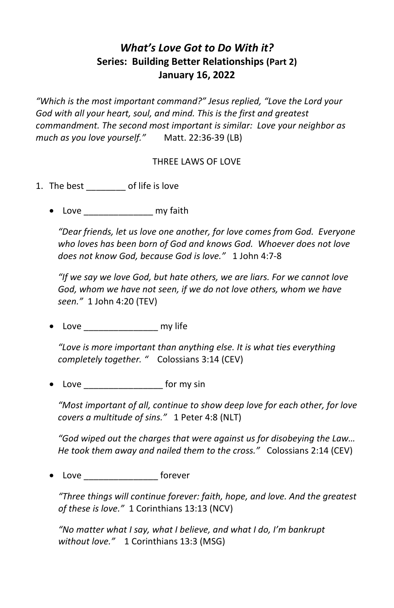## *What's Love Got to Do With it?* **Series: Building Better Relationships (Part 2) January 16, 2022**

*"Which is the most important command?" Jesus replied, "Love the Lord your God with all your heart, soul, and mind. This is the first and greatest commandment. The second most important is similar: Love your neighbor as much as you love yourself."* Matt. 22:36-39 (LB)

## THREE LAWS OF LOVE

- 1. The best \_\_\_\_\_\_\_\_ of life is love
	- Love \_\_\_\_\_\_\_\_\_\_\_\_\_\_\_\_ my faith

*"Dear friends, let us love one another, for love comes from God. Everyone who loves has been born of God and knows God. Whoever does not love does not know God, because God is love."* 1 John 4:7-8

*"If we say we love God, but hate others, we are liars. For we cannot love God, whom we have not seen, if we do not love others, whom we have seen."* 1 John 4:20 (TEV)

• Love \_\_\_\_\_\_\_\_\_\_\_\_\_\_\_ my life

*"Love is more important than anything else. It is what ties everything completely together. "* Colossians 3:14 (CEV)

• Love \_\_\_\_\_\_\_\_\_\_\_\_\_\_\_\_ for my sin

*"Most important of all, continue to show deep love for each other, for love covers a multitude of sins."* 1 Peter 4:8 (NLT)

*"God wiped out the charges that were against us for disobeying the Law… He took them away and nailed them to the cross."* Colossians 2:14 (CEV)

• Love **forever** 

*"Three things will continue forever: faith, hope, and love. And the greatest of these is love."* 1 Corinthians 13:13 (NCV)

*"No matter what I say, what I believe, and what I do, I'm bankrupt without love."* 1 Corinthians 13:3 (MSG)